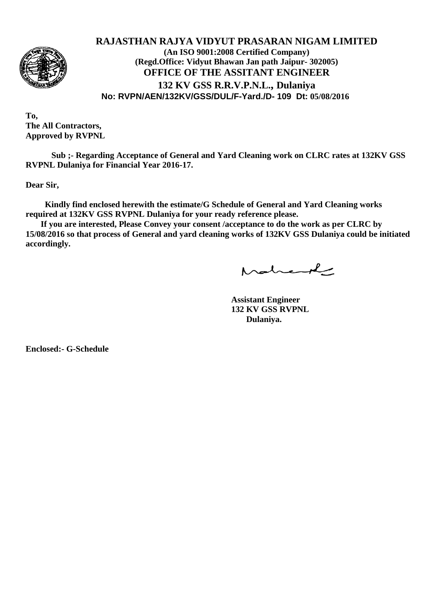

# **RAJASTHAN RAJYA VIDYUT PRASARAN NIGAM LIMITED (An ISO 9001:2008 Certified Company) (Regd.Office: Vidyut Bhawan Jan path Jaipur- 302005) OFFICE OF THE ASSITANT ENGINEER 132 KV GSS R.R.V.P.N.L., Dulaniya No: RVPN/AEN/132KV/GSS/DUL/F-Yard./D- 109 Dt: 05/08/2016**

**To, The All Contractors, Approved by RVPNL**

**Sub ;- Regarding Acceptance of General and Yard Cleaning work on CLRC rates at 132KV GSS RVPNL Dulaniya for Financial Year 2016-17.**

**Dear Sir,**

 **Kindly find enclosed herewith the estimate/G Schedule of General and Yard Cleaning works required at 132KV GSS RVPNL Dulaniya for your ready reference please.**

 **If you are interested, Please Convey your consent /acceptance to do the work as per CLRC by 15/08/2016 so that process of General and yard cleaning works of 132KV GSS Dulaniya could be initiated accordingly.**

Mahand

**Assistant Engineer 132 KV GSS RVPNL Dulaniya.**

**Enclosed:- G-Schedule**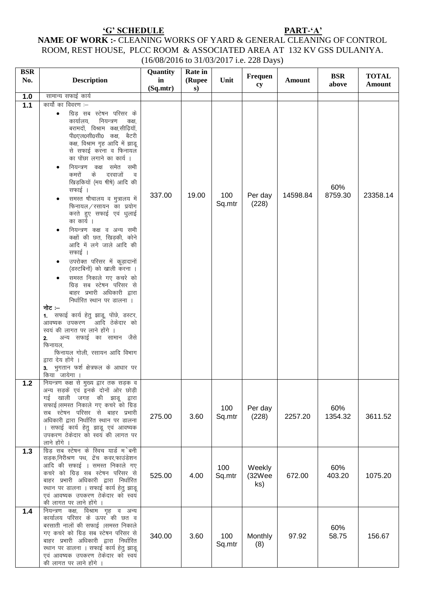### 'G' SCHEDULE

एवं आवष्यक उपकरण ठेकेदार को स्वयं

की लागत पर लाने होंगे ।

#### PART-'A'

## NAME OF WORK :- CLEANING WORKS OF YARD & GENERAL CLEANING OF CONTROL ROOM, REST HOUSE, PLCC ROOM & ASSOCIATED AREA AT 132 KV GSS DULANIYA. (16/08/2016 to 31/03/2017 i.e. 228 Days)

| <b>BSR</b> |                                                                                                                                                                                                                                                             | Quantity       | Rate in      |               |                         |          |                     |                               |
|------------|-------------------------------------------------------------------------------------------------------------------------------------------------------------------------------------------------------------------------------------------------------------|----------------|--------------|---------------|-------------------------|----------|---------------------|-------------------------------|
| No.        | <b>Description</b>                                                                                                                                                                                                                                          | in<br>(Sq.mtr) | (Rupee<br>s) | Unit          | Frequen<br>cy           | Amount   | <b>BSR</b><br>above | <b>TOTAL</b><br><b>Amount</b> |
| $1.0$      | सामान्य सफाई कार्य                                                                                                                                                                                                                                          |                |              |               |                         |          |                     |                               |
| $1.1$      | कार्यो का विवरण :–                                                                                                                                                                                                                                          |                |              |               |                         |          |                     |                               |
|            | ग्रिड़ सब स्टेषन परिसर के<br>नियन्त्रण<br>कार्यालय,<br>कक्ष,<br>बरामदों, विश्राम कक्ष,सीढ़ियॉं,<br>पी0एल0सी0सी0 कक्ष, बैटरी<br>कक्ष, विश्राम गृह आदि में झाडू<br>से सफाई करना व फिनायल<br>का पोंछा लगाने का कार्य ।<br>नियन्त्रण कक्ष समेत सभी<br>$\bullet$ |                |              |               |                         |          |                     |                               |
|            | दरवाजों<br>कमरों के<br>- व<br>खिड़कियों (मय षीषे) आदि की<br>सफाई ।<br>समस्त षौचालय व मुत्रालय में<br>$\bullet$                                                                                                                                              | 337.00         | 19.00        | 100<br>Sq.mtr | Per day<br>(228)        | 14598.84 | 60%<br>8759.30      | 23358.14                      |
|            | फिनायल/रसायन का प्रयोग<br>करते हुए सफाई एवं धुलाई<br>का कार्य ।<br>नियन्त्रण कक्ष व अन्य सभी<br>$\bullet$                                                                                                                                                   |                |              |               |                         |          |                     |                               |
|            | कक्षों की छत, खिड़की, कोने<br>आदि में लगे जाले आदि की<br>सफाई ।                                                                                                                                                                                             |                |              |               |                         |          |                     |                               |
|            | उपरोक्त परिसर में कूड़ादानों<br>(डस्टबिनों) को खाली करना ।<br>समस्त निकाले गए कचरे को                                                                                                                                                                       |                |              |               |                         |          |                     |                               |
|            | ग्रिड़ सब स्टेषन परिसर से<br>बाहर प्रभारी अधिकारी द्वारा<br>निर्धारित स्थान पर डालना ।                                                                                                                                                                      |                |              |               |                         |          |                     |                               |
|            | नोट :–                                                                                                                                                                                                                                                      |                |              |               |                         |          |                     |                               |
|            | 1. सफाई कार्य हेतु झाडू, पोंछे, डस्टर,<br>आवष्यक उपकरण आदि ठेकेदार को<br>स्वयं की लागत पर लाने होंगे ।<br>अन्य सफाई का सामान जैसे<br>2.<br>फिनायल.<br>फिनायल गोली, रसायन आदि विभाग                                                                          |                |              |               |                         |          |                     |                               |
|            | द्वारा देय होंगे ।<br>3. भुगतान फर्श क्षेत्रफल के आधार पर<br>किया जायेगा                                                                                                                                                                                    |                |              |               |                         |          |                     |                               |
| $1.2$      | नियन्त्रण कक्ष से मुख्य द्वार तक सड़क व<br>अन्य सड़कें एवं इनके दोनों ओर छोड़ी<br>गई खाली जगह की झाडू द्वारा                                                                                                                                                |                |              |               |                         |          |                     |                               |
|            | सफाई।समस्त निकाले गए कचरे को ग्रिड़<br>सब स्टेषन परिसर से बाहर प्रभारी<br>अधिकारी द्वारा निर्धारित स्थान पर डालना<br>। सफाई कार्य हेतु झाडू एवं आवष्यक<br>उपकरण ठेकेदार को स्वयं की लागत पर<br>लाने होंगे ।                                                 | 275.00         | 3.60         | 100<br>Sq.mtr | Per day<br>(228)        | 2257.20  | 60%<br>1354.32      | 3611.52                       |
| 1.3        | ग्रिड़ सब स्टेषन के स्विच यार्ड म`बनी<br>सड़क,निरीश्रण पथ, ट्रेंच कवर,फाउंडेशन                                                                                                                                                                              |                |              |               |                         |          |                     |                               |
|            | आदि की सफाई । समस्त निकाले गए<br>कचरे को ग्रिड़ सब स्टेषन परिसर से<br>बाहर प्रभारी अधिकारी द्वारा निर्धारित<br>स्थान पर डालना । सफाई कार्य हेतु झाडू<br>एवं आवष्यक उपकरण ठेकेदार को स्वयं<br>की लागत पर लाने होंगे                                          | 525.00         | 4.00         | 100<br>Sq.mtr | Weekly<br>(32Wee<br>ks) | 672.00   | 60%<br>403.20       | 1075.20                       |
| 1.4        | नियन्त्रण कक्ष, विश्राम गृह व अन्य<br>कार्यालय परिसर के ऊपर की छत व<br>बरसाती नालों की सफाई ।समस्त निकाले<br>गए कचरे को ग्रिड़ सब स्टेषन परिसर से<br>बाहर प्रभारी अधिकारी द्वारा निर्धारित<br>स्थान पर डालना । सफाई कार्य हेतु झाडू                         | 340.00         | 3.60         | 100<br>Sq.mtr | Monthly<br>(8)          | 97.92    | 60%<br>58.75        | 156.67                        |